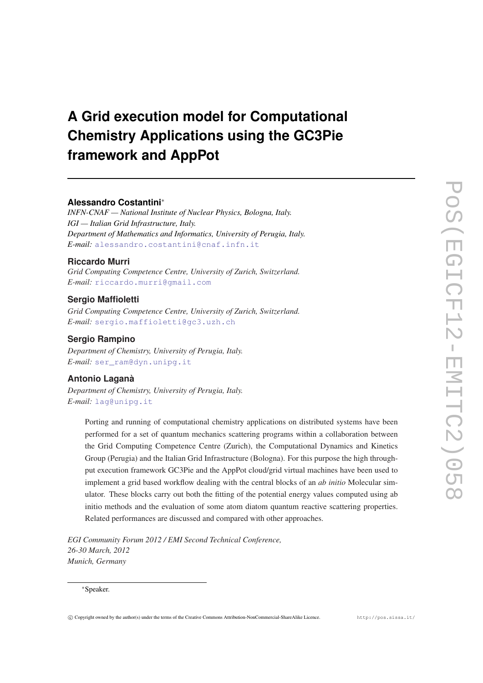# **A Grid execution model for Computational Chemistry Applications using the GC3Pie framework and AppPot**

### **Alessandro Costantini**<sup>∗</sup>

*INFN-CNAF — National Institute of Nuclear Physics, Bologna, Italy. IGI — Italian Grid Infrastructure, Italy. Department of Mathematics and Informatics, University of Perugia, Italy. E-mail:* [alessandro.costantini@cnaf.infn.it](mailto:alessandro.costantini@cnaf.infn.it)

# **Riccardo Murri**

*Grid Computing Competence Centre, University of Zurich, Switzerland. E-mail:* [riccardo.murri@gmail.com](mailto:riccardo.murri@gmail.com)

# **Sergio Maffioletti**

*Grid Computing Competence Centre, University of Zurich, Switzerland. E-mail:* [sergio.maffioletti@gc3.uzh.ch](mailto:sergio.maffioletti@gc3.uzh.ch)

# **Sergio Rampino**

*Department of Chemistry, University of Perugia, Italy. E-mail:* [ser\\_ram@dyn.unipg.it](mailto:serprotect T1	extunderscore ram@dyn.unipg.it)

# **Antonio Laganà**

*Department of Chemistry, University of Perugia, Italy. E-mail:* [lag@unipg.it](mailto:lag@unipg.it)

Porting and running of computational chemistry applications on distributed systems have been performed for a set of quantum mechanics scattering programs within a collaboration between the Grid Computing Competence Centre (Zurich), the Computational Dynamics and Kinetics Group (Perugia) and the Italian Grid Infrastructure (Bologna). For this purpose the high throughput execution framework GC3Pie and the AppPot cloud/grid virtual machines have been used to implement a grid based workflow dealing with the central blocks of an *ab initio* Molecular simulator. These blocks carry out both the fitting of the potential energy values computed using ab initio methods and the evaluation of some atom diatom quantum reactive scattering properties. Related performances are discussed and compared with other approaches.

*EGI Community Forum 2012 / EMI Second Technical Conference, 26-30 March, 2012 Munich, Germany*

### <sup>∗</sup>Speaker.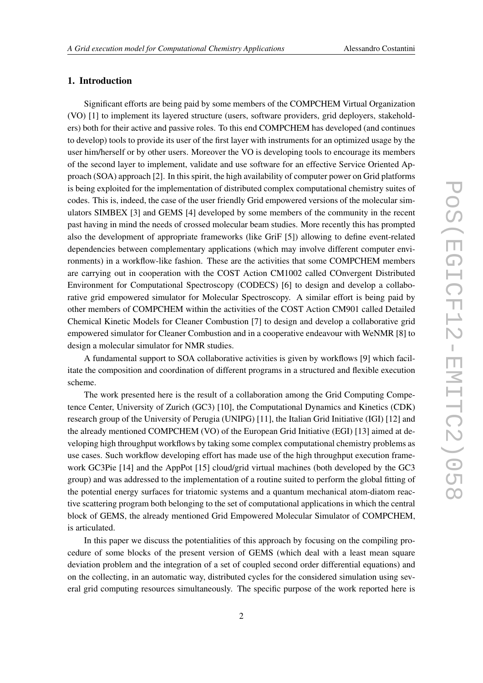### 1. Introduction

Significant efforts are being paid by some members of the COMPCHEM Virtual Organization (VO) [1] to implement its layered structure (users, software providers, grid deployers, stakeholders) both for their active and passive roles. To this end COMPCHEM has developed (and continues to develop) tools to provide its user of the first layer with instruments for an optimized usage by the user him/herself or by other users. Moreover the VO is developing tools to encourage its members of the second layer to implement, validate and use software for an effective Service Oriented Approach (SOA) approach [2]. In this spirit, the high availability of computer power on Grid platforms is being exploited for the implementation of distributed complex computational chemistry suites of codes. This is, indeed, the case of the user friendly Grid empowered versions of the molecular simulators SIMBEX [3] and GEMS [4] developed by some members of the community in the recent past having in mind the needs of crossed molecular beam studies. More recently this has prompted also the development of appropriate frameworks (like GriF [5]) allowing to define event-related dependencies between complementary applications (which may involve different computer environments) in a workflow-like fashion. These are the activities that some COMPCHEM members are carrying out in cooperation with the COST Action CM1002 called COnvergent Distributed Environment for Computational Spectroscopy (CODECS) [6] to design and develop a collaborative grid empowered simulator for Molecular Spectroscopy. A similar effort is being paid by other members of COMPCHEM within the activities of the COST Action CM901 called Detailed Chemical Kinetic Models for Cleaner Combustion [7] to design and develop a collaborative grid empowered simulator for Cleaner Combustion and in a cooperative endeavour with WeNMR [8] to design a molecular simulator for NMR studies.

A fundamental support to SOA collaborative activities is given by workflows [9] which facilitate the composition and coordination of different programs in a structured and flexible execution scheme.

The work presented here is the result of a collaboration among the Grid Computing Competence Center, University of Zurich (GC3) [10], the Computational Dynamics and Kinetics (CDK) research group of the University of Perugia (UNIPG) [11], the Italian Grid Initiative (IGI) [12] and the already mentioned COMPCHEM (VO) of the European Grid Initiative (EGI) [13] aimed at developing high throughput workflows by taking some complex computational chemistry problems as use cases. Such workflow developing effort has made use of the high throughput execution framework GC3Pie [14] and the AppPot [15] cloud/grid virtual machines (both developed by the GC3 group) and was addressed to the implementation of a routine suited to perform the global fitting of the potential energy surfaces for triatomic systems and a quantum mechanical atom-diatom reactive scattering program both belonging to the set of computational applications in which the central block of GEMS, the already mentioned Grid Empowered Molecular Simulator of COMPCHEM, is articulated.

In this paper we discuss the potentialities of this approach by focusing on the compiling procedure of some blocks of the present version of GEMS (which deal with a least mean square deviation problem and the integration of a set of coupled second order differential equations) and on the collecting, in an automatic way, distributed cycles for the considered simulation using several grid computing resources simultaneously. The specific purpose of the work reported here is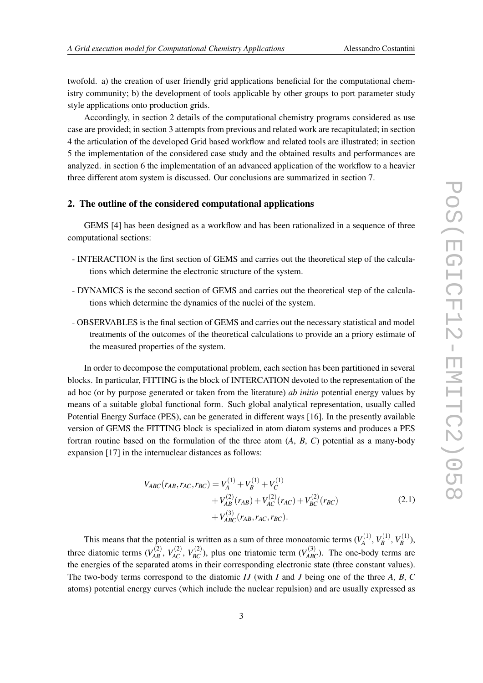twofold. a) the creation of user friendly grid applications beneficial for the computational chemistry community; b) the development of tools applicable by other groups to port parameter study style applications onto production grids.

Accordingly, in section 2 details of the computational chemistry programs considered as use case are provided; in section 3 attempts from previous and related work are recapitulated; in section 4 the articulation of the developed Grid based workflow and related tools are illustrated; in section 5 the implementation of the considered case study and the obtained results and performances are analyzed. in section 6 the implementation of an advanced application of the workflow to a heavier three different atom system is discussed. Our conclusions are summarized in section 7.

### 2. The outline of the considered computational applications

GEMS [4] has been designed as a workflow and has been rationalized in a sequence of three computational sections:

- INTERACTION is the first section of GEMS and carries out the theoretical step of the calculations which determine the electronic structure of the system.
- DYNAMICS is the second section of GEMS and carries out the theoretical step of the calculations which determine the dynamics of the nuclei of the system.
- OBSERVABLES is the final section of GEMS and carries out the necessary statistical and model treatments of the outcomes of the theoretical calculations to provide an a priory estimate of the measured properties of the system.

In order to decompose the computational problem, each section has been partitioned in several blocks. In particular, FITTING is the block of INTERCATION devoted to the representation of the ad hoc (or by purpose generated or taken from the literature) *ab initio* potential energy values by means of a suitable global functional form. Such global analytical representation, usually called Potential Energy Surface (PES), can be generated in different ways [16]. In the presently available version of GEMS the FITTING block is specialized in atom diatom systems and produces a PES fortran routine based on the formulation of the three atom (*A*, *B*, *C*) potential as a many-body expansion [17] in the internuclear distances as follows:

$$
V_{ABC}(r_{AB},r_{AC},r_{BC}) = V_A^{(1)} + V_B^{(1)} + V_C^{(1)}
$$
  
+  $V_{AB}^{(2)}(r_{AB}) + V_{AC}^{(2)}(r_{AC}) + V_{BC}^{(2)}(r_{BC})$   
+  $V_{ABC}^{(3)}(r_{AB},r_{AC},r_{BC})$ . (2.1)

This means that the potential is written as a sum of three monoatomic terms  $(V_A^{(1)})$  $V_A^{(1)}, V_B^{(1)}$  $V_B^{(1)},V_B^{(1)}$  $\binom{L}{B}$ , three diatomic terms  $(V_{AB}^{(2)}, V_{AC}^{(2)}, V_{BC}^{(2)})$ , plus one triatomic term  $(V_{ABC}^{(3)})$ . The one-body terms are the energies of the separated atoms in their corresponding electronic state (three constant values). The two-body terms correspond to the diatomic *IJ* (with *I* and *J* being one of the three *A*, *B*, *C* atoms) potential energy curves (which include the nuclear repulsion) and are usually expressed as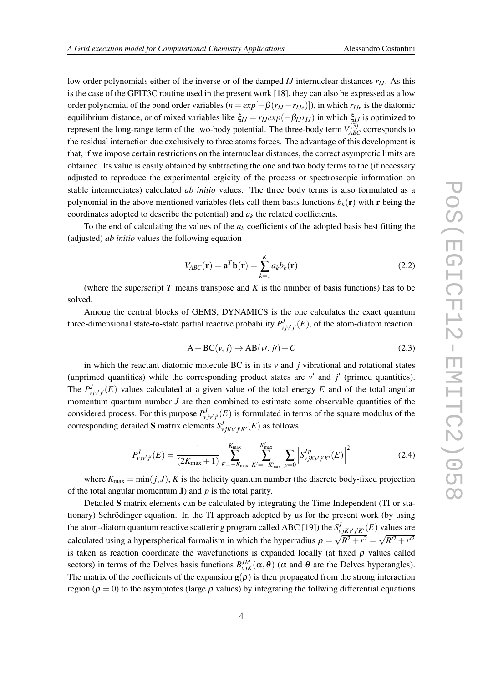low order polynomials either of the inverse or of the damped *IJ* internuclear distances *rIJ*. As this is the case of the GFIT3C routine used in the present work [18], they can also be expressed as a low order polynomial of the bond order variables  $(n = exp[-\beta(r_{IJ} - r_{IJe})])$ , in which  $r_{IJe}$  is the diatomic equilibrium distance, or of mixed variables like  $\xi_{IJ} = r_{IJ} exp(-\beta_{IJ} r_{IJ})$  in which  $\xi_{IJ}$  is optimized to represent the long-range term of the two-body potential. The three-body term  $V_{ABC}^{(3)}$  corresponds to the residual interaction due exclusively to three atoms forces. The advantage of this development is that, if we impose certain restrictions on the internuclear distances, the correct asymptotic limits are obtained. Its value is easily obtained by subtracting the one and two body terms to the (if necessary adjusted to reproduce the experimental ergicity of the process or spectroscopic information on stable intermediates) calculated *ab initio* values. The three body terms is also formulated as a polynomial in the above mentioned variables (lets call them basis functions  $b_k(\mathbf{r})$  with **r** being the coordinates adopted to describe the potential) and  $a_k$  the related coefficients.

To the end of calculating the values of the  $a_k$  coefficients of the adopted basis best fitting the (adjusted) *ab initio* values the following equation

$$
V_{ABC}(\mathbf{r}) = \mathbf{a}^T \mathbf{b}(\mathbf{r}) = \sum_{k=1}^K a_k b_k(\mathbf{r})
$$
 (2.2)

(where the superscript *T* means transpose and *K* is the number of basis functions) has to be solved.

Among the central blocks of GEMS, DYNAMICS is the one calculates the exact quantum three-dimensional state-to-state partial reactive probability  $P^J_{\nu j \nu' j'}(E)$ , of the atom-diatom reaction

$$
A + BC(v, j) \to AB(v', j') + C \tag{2.3}
$$

in which the reactant diatomic molecule BC is in its  $\nu$  and  $\dot{\jmath}$  vibrational and rotational states (unprimed quantities) while the corresponding product states are  $v'$  and  $j'$  (primed quantities). The  $P_{\nu j\nu' j'}^J(E)$  values calculated at a given value of the total energy *E* and of the total angular momentum quantum number *J* are then combined to estimate some observable quantities of the considered process. For this purpose  $P_{vjv'j'}^J(E)$  is formulated in terms of the square modulus of the corresponding detailed S matrix elements  $S_{\nu jK\nu'j'K'}^{J}(E)$  as follows:

$$
P_{\nu j\nu' j'}^{J}(E) = \frac{1}{(2K_{\text{max}}+1)} \sum_{K=-K_{\text{max}}}^{K_{\text{max}}} \sum_{K'=-K'_{\text{max}}}^{K'_{\text{max}}} \sum_{p=0}^{1} \left| S_{\nu jK\nu' j'K'}^{Jp}(E) \right|^{2}
$$
(2.4)

where  $K_{\text{max}} = \min(j, J)$ , *K* is the helicity quantum number (the discrete body-fixed projection of the total angular momentum J) and *p* is the total parity.

Detailed S matrix elements can be calculated by integrating the Time Independent (TI or stationary) Schrödinger equation. In the TI approach adopted by us for the present work (by using the atom-diatom quantum reactive scattering program called ABC [19]) the  $S_{\nu jK\nu j'K'}^{J}(E)$  values are calculated using a hyperspherical formalism in which the hyperradius  $\rho = \sqrt{R^2 + r^2} = \sqrt{R'^2 + r'^2}$ is taken as reaction coordinate the wavefunctions is expanded locally (at fixed  $\rho$  values called sectors) in terms of the Delves basis functions  $B_{vjK}^{JM}(\alpha,\theta)$  ( $\alpha$  and  $\theta$  are the Delves hyperangles). The matrix of the coefficients of the expansion  $g(\rho)$  is then propagated from the strong interaction region ( $\rho = 0$ ) to the asymptotes (large  $\rho$  values) by integrating the follwing differential equations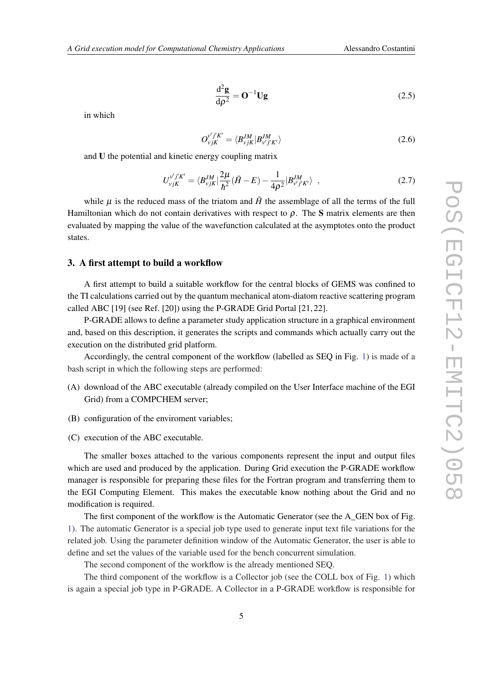$$
\frac{\mathrm{d}^2 \mathbf{g}}{\mathrm{d}\rho^2} = \mathbf{O}^{-1} \mathbf{U} \mathbf{g}
$$
 (2.5)

in which

$$
O_{vjK}^{v'j'K'} = \langle B_{vjK}^{JM} | B_{v'j'K'}^{JM} \rangle \tag{2.6}
$$

and U the potential and kinetic energy coupling matrix

$$
U_{vjK}^{v'j'K'} = \langle B_{vjK}^{JM} | \frac{2\mu}{\hbar^2} (\bar{H} - E) - \frac{1}{4\rho^2} | B_{v'j'K'}^{JM} \rangle , \qquad (2.7)
$$

while  $\mu$  is the reduced mass of the triatom and  $\bar{H}$  the assemblage of all the terms of the full Hamiltonian which do not contain derivatives with respect to  $\rho$ . The S matrix elements are then evaluated by mapping the value of the wavefunction calculated at the asymptotes onto the product states.

### 3. A first attempt to build a workflow

A first attempt to build a suitable workflow for the central blocks of GEMS was confined to the TI calculations carried out by the quantum mechanical atom-diatom reactive scattering program called ABC [19] (see Ref. [20]) using the P-GRADE Grid Portal [21, 22].

P-GRADE allows to define a parameter study application structure in a graphical environment and, based on this description, it generates the scripts and commands which actually carry out the execution on the distributed grid platform.

Accordingly, the central component of the workflow (labelled as SEQ in Fig. [1\)](#page-5-0) is made of a bash script in which the following steps are performed:

- (A) download of the ABC executable (already compiled on the User Interface machine of the EGI Grid) from a COMPCHEM server;
- (B) configuration of the enviroment variables;
- (C) execution of the ABC executable.

The smaller boxes attached to the various components represent the input and output files which are used and produced by the application. During Grid execution the P-GRADE workflow manager is responsible for preparing these files for the Fortran program and transferring them to the EGI Computing Element. This makes the executable know nothing about the Grid and no modification is required.

The first component of the workflow is the Automatic Generator (see the A\_GEN box of Fig. [1\)](#page-5-0). The automatic Generator is a special job type used to generate input text file variations for the related job. Using the parameter definition window of the Automatic Generator, the user is able to define and set the values of the variable used for the bench concurrent simulation.

The second component of the workflow is the already mentioned SEQ.

The third component of the workflow is a Collector job (see the COLL box of Fig. [1\)](#page-5-0) which is again a special job type in P-GRADE. A Collector in a P-GRADE workflow is responsible for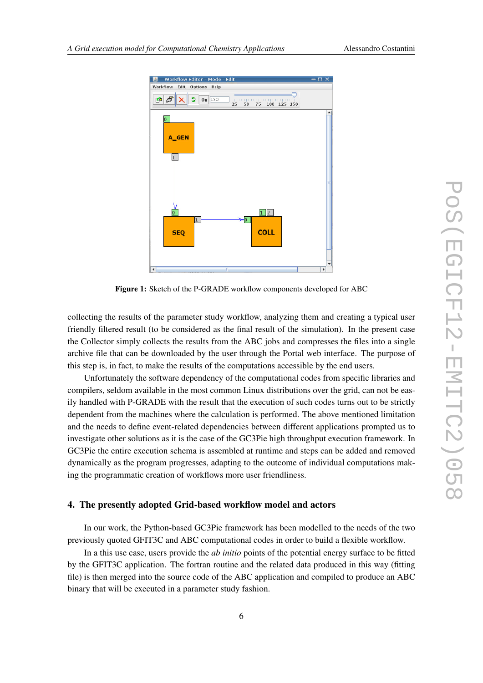<span id="page-5-0"></span>

Figure 1: Sketch of the P-GRADE workflow components developed for ABC

collecting the results of the parameter study workflow, analyzing them and creating a typical user friendly filtered result (to be considered as the final result of the simulation). In the present case the Collector simply collects the results from the ABC jobs and compresses the files into a single archive file that can be downloaded by the user through the Portal web interface. The purpose of this step is, in fact, to make the results of the computations accessible by the end users.

Unfortunately the software dependency of the computational codes from specific libraries and compilers, seldom available in the most common Linux distributions over the grid, can not be easily handled with P-GRADE with the result that the execution of such codes turns out to be strictly dependent from the machines where the calculation is performed. The above mentioned limitation and the needs to define event-related dependencies between different applications prompted us to investigate other solutions as it is the case of the GC3Pie high throughput execution framework. In GC3Pie the entire execution schema is assembled at runtime and steps can be added and removed dynamically as the program progresses, adapting to the outcome of individual computations making the programmatic creation of workflows more user friendliness.

### 4. The presently adopted Grid-based workflow model and actors

In our work, the Python-based GC3Pie framework has been modelled to the needs of the two previously quoted GFIT3C and ABC computational codes in order to build a flexible workflow.

In a this use case, users provide the *ab initio* points of the potential energy surface to be fitted by the GFIT3C application. The fortran routine and the related data produced in this way (fitting file) is then merged into the source code of the ABC application and compiled to produce an ABC binary that will be executed in a parameter study fashion.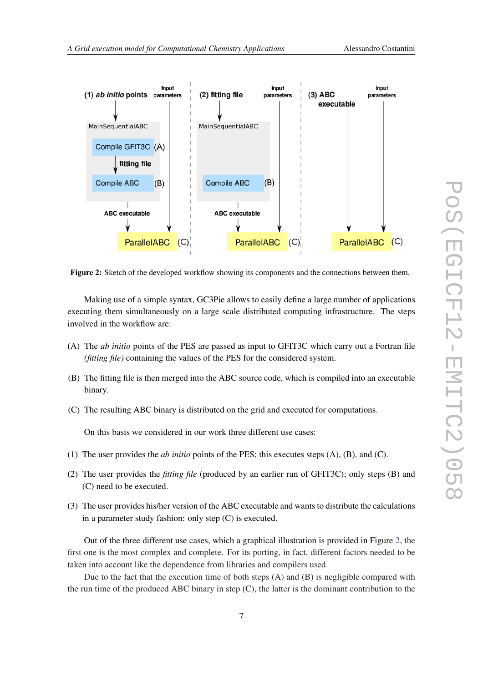



Figure 2: Sketch of the developed workflow showing its components and the connections between them.

Making use of a simple syntax, GC3Pie allows to easily define a large number of applications executing them simultaneously on a large scale distributed computing infrastructure. The steps involved in the workflow are:

- (A) The *ab initio* points of the PES are passed as input to GFIT3C which carry out a Fortran file *(fitting file)* containing the values of the PES for the considered system.
- (B) The fitting file is then merged into the ABC source code, which is compiled into an executable binary.
- (C) The resulting ABC binary is distributed on the grid and executed for computations.

On this basis we considered in our work three different use cases:

- (1) The user provides the *ab initio* points of the PES; this executes steps (A), (B), and (C).
- (2) The user provides the *fitting file* (produced by an earlier run of GFIT3C); only steps (B) and (C) need to be executed.
- (3) The user provides his/her version of the ABC executable and wants to distribute the calculations in a parameter study fashion: only step (C) is executed.

Out of the three different use cases, which a graphical illustration is provided in Figure 2, the first one is the most complex and complete. For its porting, in fact, different factors needed to be taken into account like the dependence from libraries and compilers used.

Due to the fact that the execution time of both steps  $(A)$  and  $(B)$  is negligible compared with the run time of the produced ABC binary in step (C), the latter is the dominant contribution to the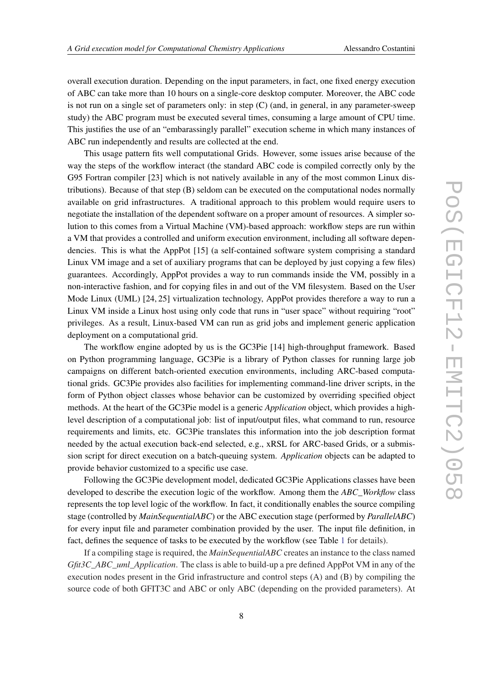overall execution duration. Depending on the input parameters, in fact, one fixed energy execution of ABC can take more than 10 hours on a single-core desktop computer. Moreover, the ABC code is not run on a single set of parameters only: in step (C) (and, in general, in any parameter-sweep study) the ABC program must be executed several times, consuming a large amount of CPU time. This justifies the use of an "embarassingly parallel" execution scheme in which many instances of ABC run independently and results are collected at the end.

This usage pattern fits well computational Grids. However, some issues arise because of the way the steps of the workflow interact (the standard ABC code is compiled correctly only by the G95 Fortran compiler [23] which is not natively available in any of the most common Linux distributions). Because of that step (B) seldom can be executed on the computational nodes normally available on grid infrastructures. A traditional approach to this problem would require users to negotiate the installation of the dependent software on a proper amount of resources. A simpler solution to this comes from a Virtual Machine (VM)-based approach: workflow steps are run within a VM that provides a controlled and uniform execution environment, including all software dependencies. This is what the AppPot [15] (a self-contained software system comprising a standard Linux VM image and a set of auxiliary programs that can be deployed by just copying a few files) guarantees. Accordingly, AppPot provides a way to run commands inside the VM, possibly in a non-interactive fashion, and for copying files in and out of the VM filesystem. Based on the User Mode Linux (UML) [24, 25] virtualization technology, AppPot provides therefore a way to run a Linux VM inside a Linux host using only code that runs in "user space" without requiring "root" privileges. As a result, Linux-based VM can run as grid jobs and implement generic application deployment on a computational grid.

The workflow engine adopted by us is the GC3Pie [14] high-throughput framework. Based on Python programming language, GC3Pie is a library of Python classes for running large job campaigns on different batch-oriented execution environments, including ARC-based computational grids. GC3Pie provides also facilities for implementing command-line driver scripts, in the form of Python object classes whose behavior can be customized by overriding specified object methods. At the heart of the GC3Pie model is a generic *Application* object, which provides a highlevel description of a computational job: list of input/output files, what command to run, resource requirements and limits, etc. GC3Pie translates this information into the job description format needed by the actual execution back-end selected, e.g., xRSL for ARC-based Grids, or a submission script for direct execution on a batch-queuing system. *Application* objects can be adapted to provide behavior customized to a specific use case.

Following the GC3Pie development model, dedicated GC3Pie Applications classes have been developed to describe the execution logic of the workflow. Among them the *ABC\_Workflow* class represents the top level logic of the workflow. In fact, it conditionally enables the source compiling stage (controlled by *MainSequentialABC*) or the ABC execution stage (performed by *ParallelABC*) for every input file and parameter combination provided by the user. The input file definition, in fact, defines the sequence of tasks to be executed by the workflow (see Table [1](#page-8-0) for details).

If a compiling stage is required, the *MainSequentialABC* creates an instance to the class named *Gfit3C\_ABC\_uml\_Application*. The class is able to build-up a pre defined AppPot VM in any of the execution nodes present in the Grid infrastructure and control steps (A) and (B) by compiling the source code of both GFIT3C and ABC or only ABC (depending on the provided parameters). At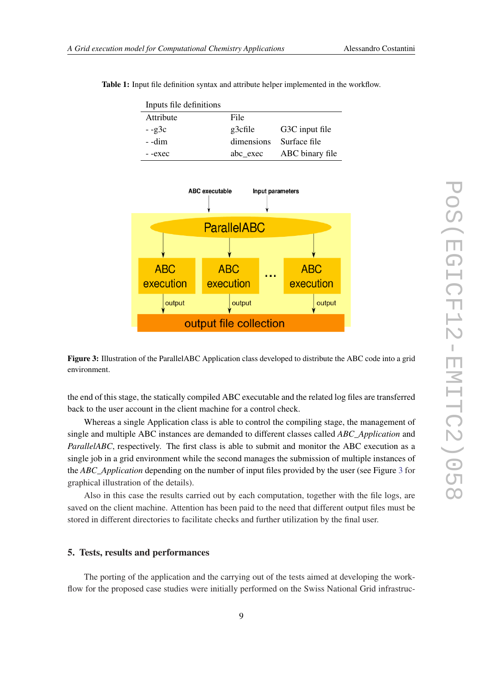| Inputs file definitions |            |                 |
|-------------------------|------------|-----------------|
| Attribute               | File       |                 |
| $-$ -g3c                | g3cfile    | G3C input file  |
| - -dim                  | dimensions | Surface file    |
| --exec                  | abc_exec   | ABC binary file |

<span id="page-8-0"></span>Table 1: Input file definition syntax and attribute helper implemented in the workflow.



Figure 3: Illustration of the ParallelABC Application class developed to distribute the ABC code into a grid environment.

the end of this stage, the statically compiled ABC executable and the related log files are transferred back to the user account in the client machine for a control check.

Whereas a single Application class is able to control the compiling stage, the management of single and multiple ABC instances are demanded to different classes called *ABC\_Application* and *ParallelABC*, respectively. The first class is able to submit and monitor the ABC execution as a single job in a grid environment while the second manages the submission of multiple instances of the *ABC\_Application* depending on the number of input files provided by the user (see Figure 3 for graphical illustration of the details).

Also in this case the results carried out by each computation, together with the file logs, are saved on the client machine. Attention has been paid to the need that different output files must be stored in different directories to facilitate checks and further utilization by the final user.

### 5. Tests, results and performances

The porting of the application and the carrying out of the tests aimed at developing the workflow for the proposed case studies were initially performed on the Swiss National Grid infrastruc-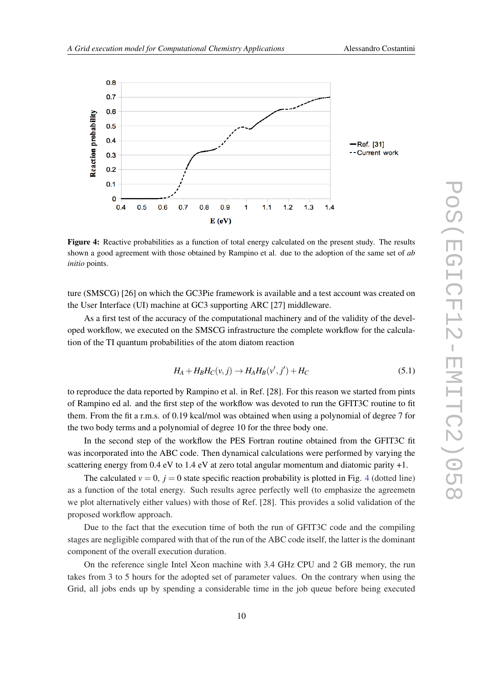

Figure 4: Reactive probabilities as a function of total energy calculated on the present study. The results shown a good agreement with those obtained by Rampino et al. due to the adoption of the same set of *ab initio* points.

ture (SMSCG) [26] on which the GC3Pie framework is available and a test account was created on the User Interface (UI) machine at GC3 supporting ARC [27] middleware.

As a first test of the accuracy of the computational machinery and of the validity of the developed workflow, we executed on the SMSCG infrastructure the complete workflow for the calculation of the TI quantum probabilities of the atom diatom reaction

$$
H_A + H_B H_C(v, j) \rightarrow H_A H_B(v', j') + H_C \tag{5.1}
$$

to reproduce the data reported by Rampino et al. in Ref. [28]. For this reason we started from pints of Rampino ed al. and the first step of the workflow was devoted to run the GFIT3C routine to fit them. From the fit a r.m.s. of 0.19 kcal/mol was obtained when using a polynomial of degree 7 for the two body terms and a polynomial of degree 10 for the three body one.

In the second step of the workflow the PES Fortran routine obtained from the GFIT3C fit was incorporated into the ABC code. Then dynamical calculations were performed by varying the scattering energy from 0.4 eV to 1.4 eV at zero total angular momentum and diatomic parity +1.

The calculated  $v = 0$ ,  $j = 0$  state specific reaction probability is plotted in Fig. 4 (dotted line) as a function of the total energy. Such results agree perfectly well (to emphasize the agreemetn we plot alternatively either values) with those of Ref. [28]. This provides a solid validation of the proposed workflow approach.

Due to the fact that the execution time of both the run of GFIT3C code and the compiling stages are negligible compared with that of the run of the ABC code itself, the latter is the dominant component of the overall execution duration.

On the reference single Intel Xeon machine with 3.4 GHz CPU and 2 GB memory, the run takes from 3 to 5 hours for the adopted set of parameter values. On the contrary when using the Grid, all jobs ends up by spending a considerable time in the job queue before being executed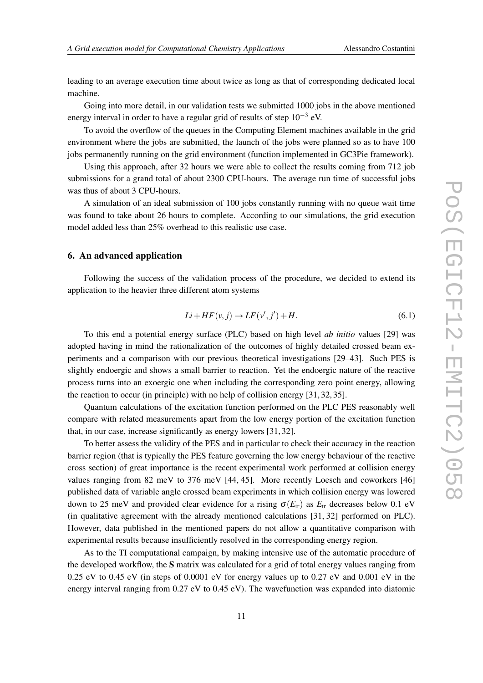leading to an average execution time about twice as long as that of corresponding dedicated local machine.

Going into more detail, in our validation tests we submitted 1000 jobs in the above mentioned energy interval in order to have a regular grid of results of step  $10^{-3}$  eV.

To avoid the overflow of the queues in the Computing Element machines available in the grid environment where the jobs are submitted, the launch of the jobs were planned so as to have 100 jobs permanently running on the grid environment (function implemented in GC3Pie framework).

Using this approach, after 32 hours we were able to collect the results coming from 712 job submissions for a grand total of about 2300 CPU-hours. The average run time of successful jobs was thus of about 3 CPU-hours.

A simulation of an ideal submission of 100 jobs constantly running with no queue wait time was found to take about 26 hours to complete. According to our simulations, the grid execution model added less than 25% overhead to this realistic use case.

# 6. An advanced application

Following the success of the validation process of the procedure, we decided to extend its application to the heavier three different atom systems

$$
Li + HF(v, j) \rightarrow LF(v', j') + H. \tag{6.1}
$$

To this end a potential energy surface (PLC) based on high level *ab initio* values [29] was adopted having in mind the rationalization of the outcomes of highly detailed crossed beam experiments and a comparison with our previous theoretical investigations [29–43]. Such PES is slightly endoergic and shows a small barrier to reaction. Yet the endoergic nature of the reactive process turns into an exoergic one when including the corresponding zero point energy, allowing the reaction to occur (in principle) with no help of collision energy [31, 32, 35].

Quantum calculations of the excitation function performed on the PLC PES reasonably well compare with related measurements apart from the low energy portion of the excitation function that, in our case, increase significantly as energy lowers [31, 32].

To better assess the validity of the PES and in particular to check their accuracy in the reaction barrier region (that is typically the PES feature governing the low energy behaviour of the reactive cross section) of great importance is the recent experimental work performed at collision energy values ranging from 82 meV to 376 meV [44, 45]. More recently Loesch and coworkers [46] published data of variable angle crossed beam experiments in which collision energy was lowered down to 25 meV and provided clear evidence for a rising  $\sigma(E_{tr})$  as  $E_{tr}$  decreases below 0.1 eV (in qualitative agreement with the already mentioned calculations [31, 32] performed on PLC). However, data published in the mentioned papers do not allow a quantitative comparison with experimental results because insufficiently resolved in the corresponding energy region.

As to the TI computational campaign, by making intensive use of the automatic procedure of the developed workflow, the S matrix was calculated for a grid of total energy values ranging from 0.25 eV to 0.45 eV (in steps of 0.0001 eV for energy values up to 0.27 eV and 0.001 eV in the energy interval ranging from 0.27 eV to 0.45 eV). The wavefunction was expanded into diatomic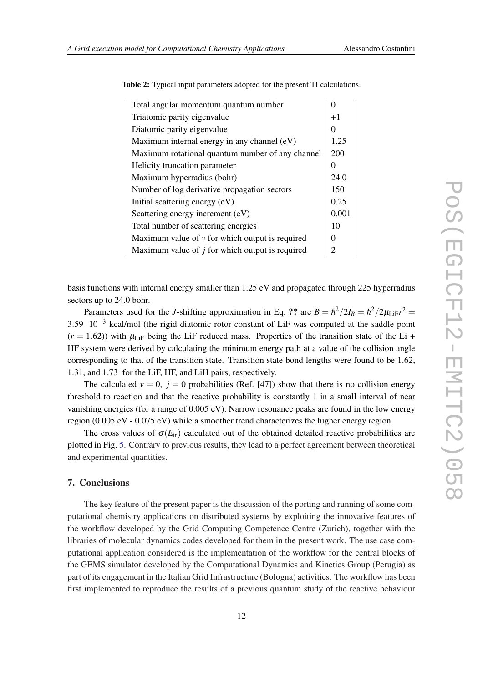| Total angular momentum quantum number               |  |  |
|-----------------------------------------------------|--|--|
| Triatomic parity eigenvalue                         |  |  |
| Diatomic parity eigenvalue                          |  |  |
| Maximum internal energy in any channel (eV)         |  |  |
| Maximum rotational quantum number of any channel    |  |  |
| Helicity truncation parameter                       |  |  |
| Maximum hyperradius (bohr)                          |  |  |
| Number of log derivative propagation sectors        |  |  |
| Initial scattering energy (eV)                      |  |  |
| Scattering energy increment (eV)                    |  |  |
| Total number of scattering energies                 |  |  |
| Maximum value of $\nu$ for which output is required |  |  |
| Maximum value of $j$ for which output is required   |  |  |
|                                                     |  |  |

Table 2: Typical input parameters adopted for the present TI calculations.

basis functions with internal energy smaller than 1.25 eV and propagated through 225 hyperradius sectors up to 24.0 bohr.

Parameters used for the *J*-shifting approximation in Eq. ?? are  $B = \hbar^2/2I_B = \hbar^2/2\mu_{\text{LiF}}r^2 =$ 3.59 · 10−<sup>3</sup> kcal/mol (the rigid diatomic rotor constant of LiF was computed at the saddle point  $(r = 1.62)$ ) with  $\mu_{\text{LIF}}$  being the LiF reduced mass. Properties of the transition state of the Li + HF system were derived by calculating the minimum energy path at a value of the collision angle corresponding to that of the transition state. Transition state bond lengths were found to be 1.62, 1.31, and 1.73 for the LiF, HF, and LiH pairs, respectively.

The calculated  $v = 0$ ,  $j = 0$  probabilities (Ref. [47]) show that there is no collision energy threshold to reaction and that the reactive probability is constantly 1 in a small interval of near vanishing energies (for a range of 0.005 eV). Narrow resonance peaks are found in the low energy region (0.005 eV - 0.075 eV) while a smoother trend characterizes the higher energy region.

The cross values of  $\sigma(E_{tr})$  calculated out of the obtained detailed reactive probabilities are plotted in Fig. [5.](#page-12-0) Contrary to previous results, they lead to a perfect agreement between theoretical and experimental quantities.

# 7. Conclusions

The key feature of the present paper is the discussion of the porting and running of some computational chemistry applications on distributed systems by exploiting the innovative features of the workflow developed by the Grid Computing Competence Centre (Zurich), together with the libraries of molecular dynamics codes developed for them in the present work. The use case computational application considered is the implementation of the workflow for the central blocks of the GEMS simulator developed by the Computational Dynamics and Kinetics Group (Perugia) as part of its engagement in the Italian Grid Infrastructure (Bologna) activities. The workflow has been first implemented to reproduce the results of a previous quantum study of the reactive behaviour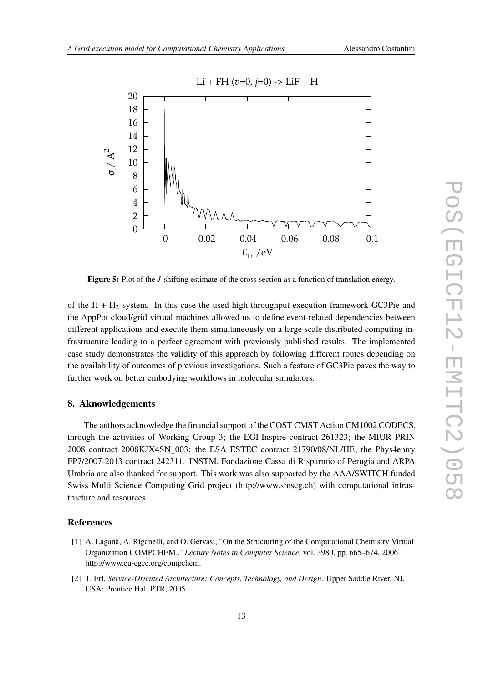<span id="page-12-0"></span>

Figure 5: Plot of the *J*-shifting estimate of the cross section as a function of translation energy.

of the  $H + H_2$  system. In this case the used high throughput execution framework GC3Pie and the AppPot cloud/grid virtual machines allowed us to define event-related dependencies between different applications and execute them simultaneously on a large scale distributed computing infrastructure leading to a perfect agreement with previously published results. The implemented case study demonstrates the validity of this approach by following different routes depending on the availability of outcomes of previous investigations. Such a feature of GC3Pie paves the way to further work on better embodying workflows in molecular simulators.

# 8. Aknowledgements

The authors acknowledge the financial support of the COST CMST Action CM1002 CODECS, through the activities of Working Group 3; the EGI-Inspire contract 261323; the MIUR PRIN 2008 contract 2008KJX4SN\_003; the ESA ESTEC contract 21790/08/NL/HE; the Phys4entry FP7/2007-2013 contract 242311. INSTM, Fondazione Cassa di Risparmio of Perugia and ARPA Umbria are also thanked for support. This work was also supported by the AAA/SWITCH funded Swiss Multi Science Computing Grid project (http://www.smscg.ch) with computational infrastructure and resources.

# References

- [1] A. Laganà, A. Riganelli, and O. Gervasi, "On the Structuring of the Computational Chemistry Virtual Organization COMPCHEM.," *Lecture Notes in Computer Science*, vol. 3980, pp. 665–674, 2006. http://www.eu-egee.org/compchem.
- [2] T. Erl, *Service-Oriented Architecture: Concepts, Technology, and Design*. Upper Saddle River, NJ, USA: Prentice Hall PTR, 2005.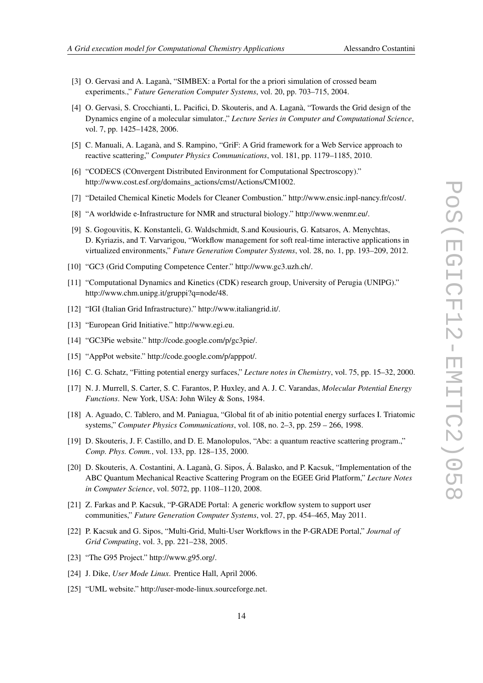- [3] O. Gervasi and A. Laganà, "SIMBEX: a Portal for the a priori simulation of crossed beam experiments.," *Future Generation Computer Systems*, vol. 20, pp. 703–715, 2004.
- [4] O. Gervasi, S. Crocchianti, L. Pacifici, D. Skouteris, and A. Laganà, "Towards the Grid design of the Dynamics engine of a molecular simulator.," *Lecture Series in Computer and Computational Science*, vol. 7, pp. 1425–1428, 2006.
- [5] C. Manuali, A. Laganà, and S. Rampino, "GriF: A Grid framework for a Web Service approach to reactive scattering," *Computer Physics Communications*, vol. 181, pp. 1179–1185, 2010.
- [6] "CODECS (COnvergent Distributed Environment for Computational Spectroscopy)." http://www.cost.esf.org/domains\_actions/cmst/Actions/CM1002.
- [7] "Detailed Chemical Kinetic Models for Cleaner Combustion." http://www.ensic.inpl-nancy.fr/cost/.
- [8] "A worldwide e-Infrastructure for NMR and structural biology." http://www.wenmr.eu/.
- [9] S. Gogouvitis, K. Konstanteli, G. Waldschmidt, S.and Kousiouris, G. Katsaros, A. Menychtas, D. Kyriazis, and T. Varvarigou, "Workflow management for soft real-time interactive applications in virtualized environments," *Future Generation Computer Systems*, vol. 28, no. 1, pp. 193–209, 2012.
- [10] "GC3 (Grid Computing Competence Center." http://www.gc3.uzh.ch/.
- [11] "Computational Dynamics and Kinetics (CDK) research group, University of Perugia (UNIPG)." http://www.chm.unipg.it/gruppi?q=node/48.
- [12] "IGI (Italian Grid Infrastructure)." http://www.italiangrid.it/.
- [13] "European Grid Initiative." http://www.egi.eu.
- [14] "GC3Pie website." http://code.google.com/p/gc3pie/.
- [15] "AppPot website." http://code.google.com/p/apppot/.
- [16] C. G. Schatz, "Fitting potential energy surfaces," *Lecture notes in Chemistry*, vol. 75, pp. 15–32, 2000.
- [17] N. J. Murrell, S. Carter, S. C. Farantos, P. Huxley, and A. J. C. Varandas, *Molecular Potential Energy Functions*. New York, USA: John Wiley & Sons, 1984.
- [18] A. Aguado, C. Tablero, and M. Paniagua, "Global fit of ab initio potential energy surfaces I. Triatomic systems," *Computer Physics Communications*, vol. 108, no. 2–3, pp. 259 – 266, 1998.
- [19] D. Skouteris, J. F. Castillo, and D. E. Manolopulos, "Abc: a quantum reactive scattering program.," *Comp. Phys. Comm.*, vol. 133, pp. 128–135, 2000.
- [20] D. Skouteris, A. Costantini, A. Laganà, G. Sipos, Á. Balasko, and P. Kacsuk, "Implementation of the ABC Quantum Mechanical Reactive Scattering Program on the EGEE Grid Platform," *Lecture Notes in Computer Science*, vol. 5072, pp. 1108–1120, 2008.
- [21] Z. Farkas and P. Kacsuk, "P-GRADE Portal: A generic workflow system to support user communities," *Future Generation Computer Systems*, vol. 27, pp. 454–465, May 2011.
- [22] P. Kacsuk and G. Sipos, "Multi-Grid, Multi-User Workflows in the P-GRADE Portal," *Journal of Grid Computing*, vol. 3, pp. 221–238, 2005.
- [23] "The G95 Project." http://www.g95.org/.
- [24] J. Dike, *User Mode Linux*. Prentice Hall, April 2006.
- [25] "UML website." http://user-mode-linux.sourceforge.net.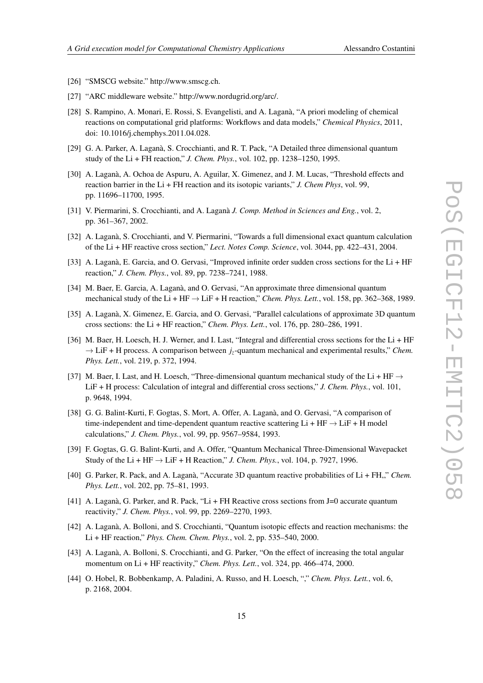- [26] "SMSCG website." http://www.smscg.ch.
- [27] "ARC middleware website." http://www.nordugrid.org/arc/.
- [28] S. Rampino, A. Monari, E. Rossi, S. Evangelisti, and A. Laganà, "A priori modeling of chemical reactions on computational grid platforms: Workflows and data models," *Chemical Physics*, 2011, doi: 10.1016/j.chemphys.2011.04.028.
- [29] G. A. Parker, A. Laganà, S. Crocchianti, and R. T. Pack, "A Detailed three dimensional quantum study of the Li + FH reaction," *J. Chem. Phys.*, vol. 102, pp. 1238–1250, 1995.
- [30] A. Laganà, A. Ochoa de Aspuru, A. Aguilar, X. Gimenez, and J. M. Lucas, "Threshold effects and reaction barrier in the Li + FH reaction and its isotopic variants," *J. Chem Phys*, vol. 99, pp. 11696–11700, 1995.
- [31] V. Piermarini, S. Crocchianti, and A. Laganà *J. Comp. Method in Sciences and Eng.*, vol. 2, pp. 361–367, 2002.
- [32] A. Laganà, S. Crocchianti, and V. Piermarini, "Towards a full dimensional exact quantum calculation of the Li + HF reactive cross section," *Lect. Notes Comp. Science*, vol. 3044, pp. 422–431, 2004.
- [33] A. Laganà, E. Garcia, and O. Gervasi, "Improved infinite order sudden cross sections for the Li + HF reaction," *J. Chem. Phys.*, vol. 89, pp. 7238–7241, 1988.
- [34] M. Baer, E. Garcia, A. Laganà, and O. Gervasi, "An approximate three dimensional quantum mechanical study of the Li + HF → LiF + H reaction," *Chem. Phys. Lett.*, vol. 158, pp. 362–368, 1989.
- [35] A. Laganà, X. Gimenez, E. Garcia, and O. Gervasi, "Parallel calculations of approximate 3D quantum cross sections: the Li + HF reaction," *Chem. Phys. Lett.*, vol. 176, pp. 280–286, 1991.
- [36] M. Baer, H. Loesch, H. J. Werner, and I. Last, "Integral and differential cross sections for the Li + HF  $\rightarrow$  LiF + H process. A comparison between  $j_z$ -quantum mechanical and experimental results," *Chem. Phys. Lett.*, vol. 219, p. 372, 1994.
- [37] M. Baer, I. Last, and H. Loesch, "Three-dimensional quantum mechanical study of the Li + HF  $\rightarrow$ LiF + H process: Calculation of integral and differential cross sections," *J. Chem. Phys.*, vol. 101, p. 9648, 1994.
- [38] G. G. Balint-Kurti, F. Gogtas, S. Mort, A. Offer, A. Laganà, and O. Gervasi, "A comparison of time-independent and time-dependent quantum reactive scattering Li + HF  $\rightarrow$  LiF + H model calculations," *J. Chem. Phys.*, vol. 99, pp. 9567–9584, 1993.
- [39] F. Gogtas, G. G. Balint-Kurti, and A. Offer, "Quantum Mechanical Three-Dimensional Wavepacket Study of the Li + HF  $\rightarrow$  LiF + H Reaction," *J. Chem. Phys.*, vol. 104, p. 7927, 1996.
- [40] G. Parker, R. Pack, and A. Laganà, "Accurate 3D quantum reactive probabilities of Li + FH,," *Chem. Phys. Lett.*, vol. 202, pp. 75–81, 1993.
- [41] A. Laganà, G. Parker, and R. Pack, "Li + FH Reactive cross sections from J=0 accurate quantum reactivity," *J. Chem. Phys.*, vol. 99, pp. 2269–2270, 1993.
- [42] A. Laganà, A. Bolloni, and S. Crocchianti, "Quantum isotopic effects and reaction mechanisms: the Li + HF reaction," *Phys. Chem. Chem. Phys.*, vol. 2, pp. 535–540, 2000.
- [43] A. Laganà, A. Bolloni, S. Crocchianti, and G. Parker, "On the effect of increasing the total angular momentum on Li + HF reactivity," *Chem. Phys. Lett.*, vol. 324, pp. 466–474, 2000.
- [44] O. Hobel, R. Bobbenkamp, A. Paladini, A. Russo, and H. Loesch, "," *Chem. Phys. Lett.*, vol. 6, p. 2168, 2004.